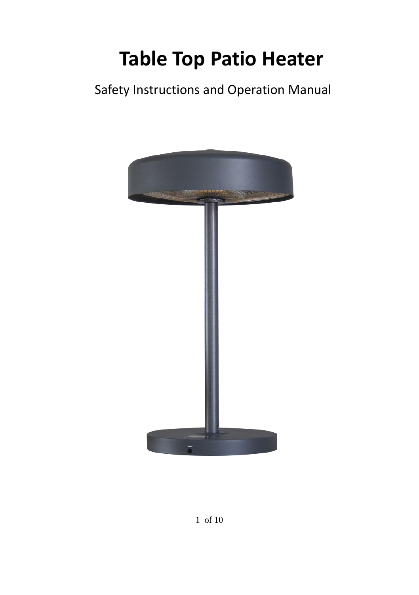# **Table Top Patio Heater**

Safety Instructions and Operation Manual

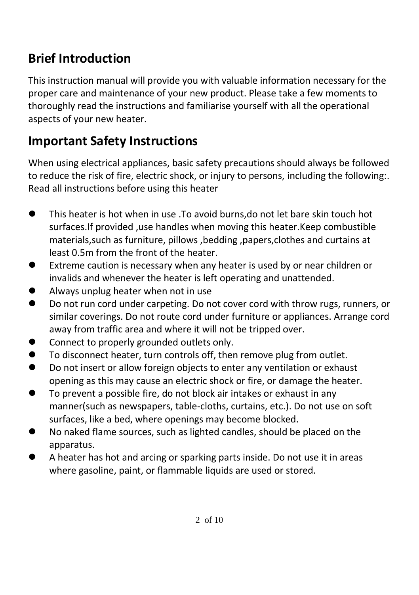# **Brief Introduction**

This instruction manual will provide you with valuable information necessary for the proper care and maintenance of your new product. Please take a few moments to thoroughly read the instructions and familiarise yourself with all the operational aspects of your new heater.

# **Important Safety Instructions**

When using electrical appliances, basic safety precautions should always be followed to reduce the risk of fire, electric shock, or injury to persons, including the following:. Read all instructions before using this heater

- This heater is hot when in use .To avoid burns,do not let bare skin touch hot surfaces.If provided ,use handles when moving this heater.Keep combustible materials,such as furniture, pillows ,bedding ,papers,clothes and curtains at least 0.5m from the front of the heater.
- ⚫ Extreme caution is necessary when any heater is used by or near children or invalids and whenever the heater is left operating and unattended.
- ⚫ Always unplug heater when not in use
- ⚫ Do not run cord under carpeting. Do not cover cord with throw rugs, runners, or similar coverings. Do not route cord under furniture or appliances. Arrange cord away from traffic area and where it will not be tripped over.
- Connect to properly grounded outlets only.
- To disconnect heater, turn controls off, then remove plug from outlet.
- Do not insert or allow foreign objects to enter any ventilation or exhaust opening as this may cause an electric shock or fire, or damage the heater.
- To prevent a possible fire, do not block air intakes or exhaust in any manner(such as newspapers, table-cloths, curtains, etc.). Do not use on soft surfaces, like a bed, where openings may become blocked.
- No naked flame sources, such as lighted candles, should be placed on the apparatus.
- A heater has hot and arcing or sparking parts inside. Do not use it in areas where gasoline, paint, or flammable liquids are used or stored.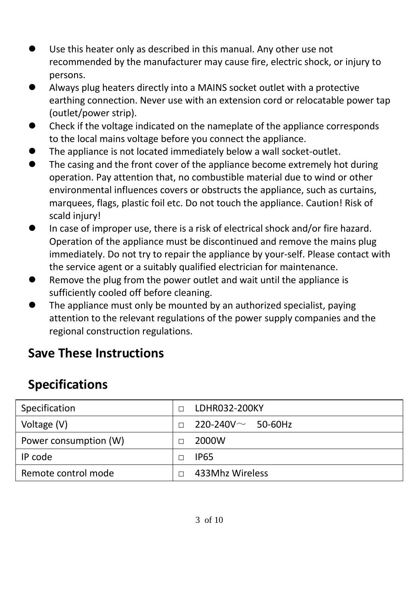- Use this heater only as described in this manual. Any other use not recommended by the manufacturer may cause fire, electric shock, or injury to persons.
- ⚫ Always plug heaters directly into a MAINS socket outlet with a protective earthing connection. Never use with an extension cord or relocatable power tap (outlet/power strip).
- Check if the voltage indicated on the nameplate of the appliance corresponds to the local mains voltage before you connect the appliance.
- The appliance is not located immediately below a wall socket-outlet.
- The casing and the front cover of the appliance become extremely hot during operation. Pay attention that, no combustible material due to wind or other environmental influences covers or obstructs the appliance, such as curtains, marquees, flags, plastic foil etc. Do not touch the appliance. Caution! Risk of scald injury!
- In case of improper use, there is a risk of electrical shock and/or fire hazard. Operation of the appliance must be discontinued and remove the mains plug immediately. Do not try to repair the appliance by your-self. Please contact with the service agent or a suitably qualified electrician for maintenance.
- ⚫ Remove the plug from the power outlet and wait until the appliance is sufficiently cooled off before cleaning.
- ⚫ The appliance must only be mounted by an authorized specialist, paying attention to the relevant regulations of the power supply companies and the regional construction regulations.

### **Save These Instructions**

# **Specifications**

| Specification         | п | LDHR032-200KY               |
|-----------------------|---|-----------------------------|
| Voltage (V)           | п | $220 - 240V \sim 50 - 60Hz$ |
| Power consumption (W) |   | 2000W                       |
| IP code               |   | IP65                        |
| Remote control mode   |   | 433Mhz Wireless             |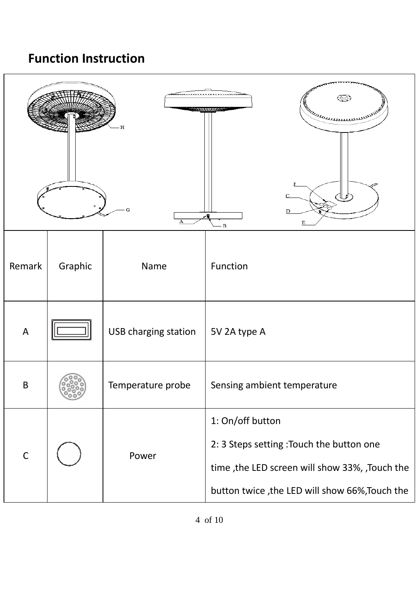### **Function Instruction**

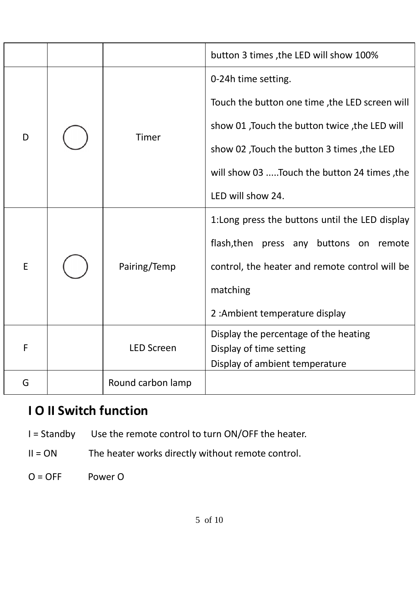|   |  |                   | button 3 times, the LED will show 100%          |
|---|--|-------------------|-------------------------------------------------|
| D |  | Timer             | 0-24h time setting.                             |
|   |  |                   | Touch the button one time, the LED screen will  |
|   |  |                   | show 01, Touch the button twice, the LED will   |
|   |  |                   | show 02, Touch the button 3 times, the LED      |
|   |  |                   | will show 03 Touch the button 24 times, the     |
|   |  |                   | LED will show 24.                               |
| F |  | Pairing/Temp      | 1: Long press the buttons until the LED display |
|   |  |                   | flash, then press any buttons on remote         |
|   |  |                   | control, the heater and remote control will be  |
|   |  |                   | matching                                        |
|   |  |                   | 2: Ambient temperature display                  |
| F |  | <b>LED Screen</b> | Display the percentage of the heating           |
|   |  |                   | Display of time setting                         |
|   |  |                   | Display of ambient temperature                  |
| G |  | Round carbon lamp |                                                 |

# **I O II Switch function**

- I = Standby Use the remote control to turn ON/OFF the heater.
- II = ON The heater works directly without remote control.
- O = OFF Power O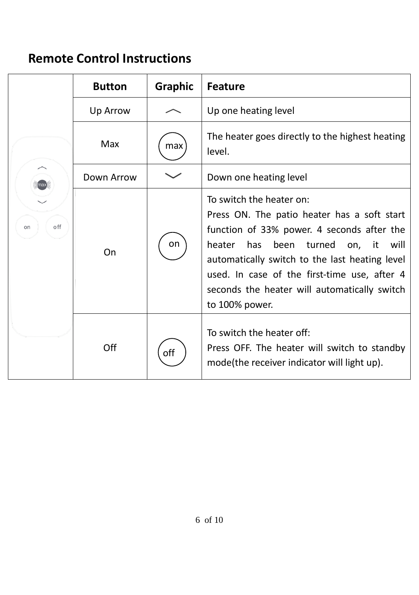## **Remote Control Instructions**

| off<br>on | <b>Button</b> | Graphic | <b>Feature</b>                                                                                                                                                                                                                                                                                                                                 |
|-----------|---------------|---------|------------------------------------------------------------------------------------------------------------------------------------------------------------------------------------------------------------------------------------------------------------------------------------------------------------------------------------------------|
|           | Up Arrow      |         | Up one heating level                                                                                                                                                                                                                                                                                                                           |
|           | Max           | max     | The heater goes directly to the highest heating<br>level.                                                                                                                                                                                                                                                                                      |
|           | Down Arrow    |         | Down one heating level                                                                                                                                                                                                                                                                                                                         |
|           | On            | on      | To switch the heater on:<br>Press ON. The patio heater has a soft start<br>function of 33% power. 4 seconds after the<br>has<br>been<br>heater<br>turned<br>on, it<br>will<br>automatically switch to the last heating level<br>used. In case of the first-time use, after 4<br>seconds the heater will automatically switch<br>to 100% power. |
|           | Off           | off     | To switch the heater off:<br>Press OFF. The heater will switch to standby<br>mode(the receiver indicator will light up).                                                                                                                                                                                                                       |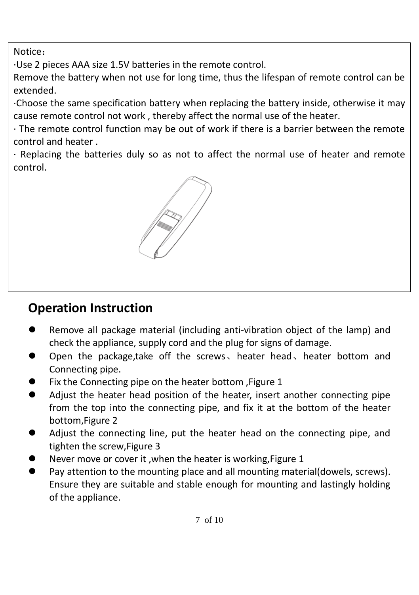Notice:

·Use 2 pieces AAA size 1.5V batteries in the remote control.

Remove the battery when not use for long time, thus the lifespan of remote control can be extended.

·Choose the same specification battery when replacing the battery inside, otherwise it may cause remote control not work , thereby affect the normal use of the heater.

· The remote control function may be out of work if there is a barrier between the remote control and heater .

· Replacing the batteries duly so as not to affect the normal use of heater and remote control.



# **Operation Instruction**

- ⚫ Remove all package material (including anti-vibration object of the lamp) and check the appliance, supply cord and the plug for signs of damage.
- ⚫ Open the package,take off the screws、heater head、heater bottom and Connecting pipe.
- ⚫ Fix the Connecting pipe on the heater bottom ,Figure 1
- ⚫ Adjust the heater head position of the heater, insert another connecting pipe from the top into the connecting pipe, and fix it at the bottom of the heater bottom,Figure 2
- ⚫ Adjust the connecting line, put the heater head on the connecting pipe, and tighten the screw,Figure 3
- ⚫ Never move or cover it ,when the heater is working,Figure 1
- ⚫ Pay attention to the mounting place and all mounting material(dowels, screws). Ensure they are suitable and stable enough for mounting and lastingly holding of the appliance.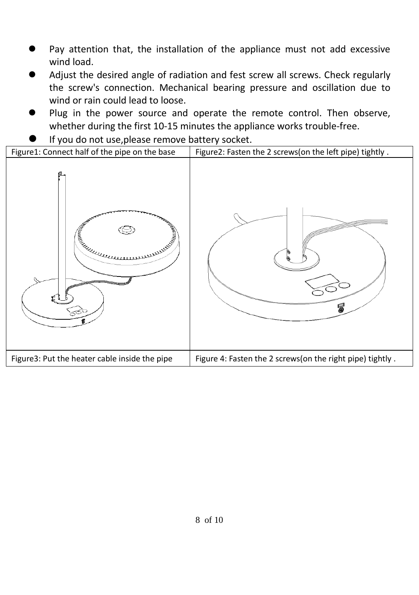- Pay attention that, the installation of the appliance must not add excessive wind load.
- ⚫ Adjust the desired angle of radiation and fest screw all screws. Check regularly the screw's connection. Mechanical bearing pressure and oscillation due to wind or rain could lead to loose.
- Plug in the power source and operate the remote control. Then observe, whether during the first 10-15 minutes the appliance works trouble-free.
- 

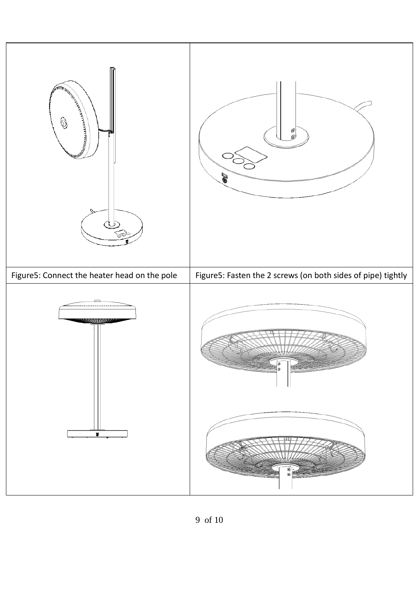